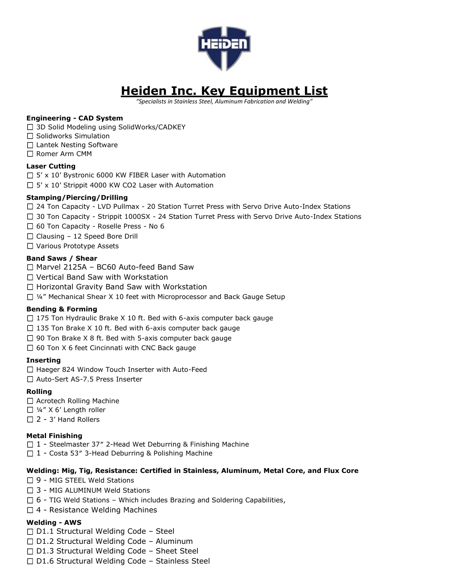

# **Heiden Inc. Key Equipment List**

*"Specialists in Stainless Steel, Aluminum Fabrication and Welding"*

#### **Engineering - CAD System**

- □ 3D Solid Modeling using SolidWorks/CADKEY
- $\Box$  Solidworks Simulation
- $\Box$  Lantek Nesting Software
- □ Romer Arm CMM

#### **Laser Cutting**

- $\Box$  5' x 10' Bystronic 6000 KW FIBER Laser with Automation
- $\Box$  5' x 10' Strippit 4000 KW CO2 Laser with Automation

# **Stamping/Piercing/Drilling**

- $\Box$  24 Ton Capacity LVD Pullmax 20 Station Turret Press with Servo Drive Auto-Index Stations
- $\Box$  30 Ton Capacity Strippit 1000SX 24 Station Turret Press with Servo Drive Auto-Index Stations
- □ 60 Ton Capacity Roselle Press No 6
- $\Box$  Clausing 12 Speed Bore Drill
- □ Various Prototype Assets

#### **Band Saws / Shear**

- □ Marvel 2125A BC60 Auto-feed Band Saw
- □ Vertical Band Saw with Workstation
- □ Horizontal Gravity Band Saw with Workstation
- $\Box$  ¼" Mechanical Shear X 10 feet with Microprocessor and Back Gauge Setup

# **Bending & Forming**

- $\Box$  175 Ton Hydraulic Brake X 10 ft. Bed with 6-axis computer back gauge
- $\Box$  135 Ton Brake X 10 ft. Bed with 6-axis computer back gauge
- $\Box$  90 Ton Brake X 8 ft. Bed with 5-axis computer back gauge
- $\Box$  60 Ton X 6 feet Cincinnati with CNC Back gauge

#### **Inserting**

- $\Box$  Haeger 824 Window Touch Inserter with Auto-Feed
- □ Auto-Sert AS-7.5 Press Inserter

# **Rolling**

- □ Acrotech Rolling Machine
- $\Box$  1/4" X 6' Length roller
- $\square$  2 3' Hand Rollers

#### **Metal Finishing**

- $\Box$  1 Steelmaster 37" 2-Head Wet Deburring & Finishing Machine
- $\Box$  1 Costa 53" 3-Head Deburring & Polishing Machine

#### **Welding: Mig, Tig, Resistance: Certified in Stainless, Aluminum, Metal Core, and Flux Core**

- $\Box$  9 MIG STEEL Weld Stations
- $\Box$  3 MIG ALUMINUM Weld Stations
- $\Box$  6 TIG Weld Stations Which includes Brazing and Soldering Capabilities,
- $\Box$  4 Resistance Welding Machines

# **Welding - AWS**

- $\Box$  D1.1 Structural Welding Code Steel
- $\Box$  D1.2 Structural Welding Code Aluminum
- $\Box$  D1.3 Structural Welding Code Sheet Steel
- $\Box$  D1.6 Structural Welding Code Stainless Steel